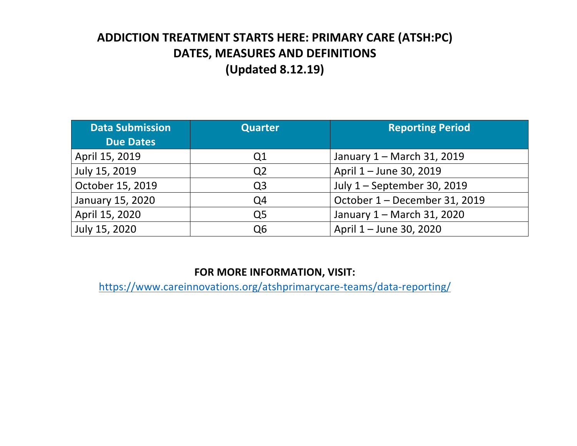## **ADDICTION TREATMENT STARTS HERE: PRIMARY CARE (ATSH:PC) DATES, MEASURES AND DEFINITIONS (Updated 8.12.19)**

| <b>Data Submission</b><br><b>Due Dates</b> | <b>Quarter</b>                               | <b>Reporting Period</b>       |  |
|--------------------------------------------|----------------------------------------------|-------------------------------|--|
| April 15, 2019                             | Q1                                           | January 1 - March 31, 2019    |  |
| July 15, 2019                              | Q <sub>2</sub>                               | April 1 - June 30, 2019       |  |
| October 15, 2019                           | Q <sub>3</sub>                               | July 1 - September 30, 2019   |  |
| January 15, 2020                           | Q <sub>4</sub>                               | October 1 - December 31, 2019 |  |
| April 15, 2020                             | January 1 - March 31, 2020<br>Q <sub>5</sub> |                               |  |
| July 15, 2020                              | Q6                                           | April 1 – June 30, 2020       |  |

## **FOR MORE INFORMATION, VISIT:**

https://www.careinnovations.org/atshprimarycare-teams/data-reporting/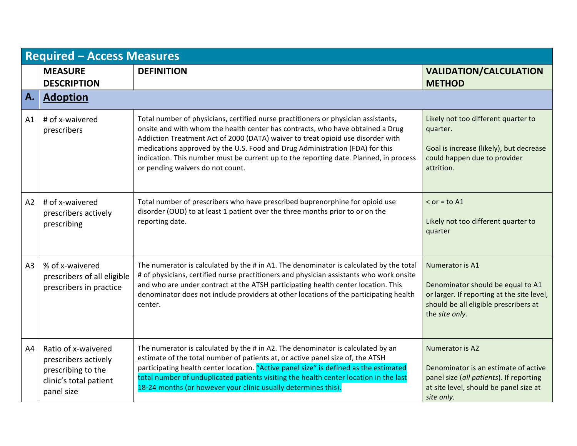|    | <b>Required - Access Measures</b>                                                                         |                                                                                                                                                                                                                                                                                                                                                                                                                                                                      |                                                                                                                                                               |  |
|----|-----------------------------------------------------------------------------------------------------------|----------------------------------------------------------------------------------------------------------------------------------------------------------------------------------------------------------------------------------------------------------------------------------------------------------------------------------------------------------------------------------------------------------------------------------------------------------------------|---------------------------------------------------------------------------------------------------------------------------------------------------------------|--|
|    | <b>MEASURE</b><br><b>DESCRIPTION</b>                                                                      | <b>DEFINITION</b>                                                                                                                                                                                                                                                                                                                                                                                                                                                    | <b>VALIDATION/CALCULATION</b><br><b>METHOD</b>                                                                                                                |  |
| A. | <b>Adoption</b>                                                                                           |                                                                                                                                                                                                                                                                                                                                                                                                                                                                      |                                                                                                                                                               |  |
| A1 | # of x-waivered<br>prescribers                                                                            | Total number of physicians, certified nurse practitioners or physician assistants,<br>onsite and with whom the health center has contracts, who have obtained a Drug<br>Addiction Treatment Act of 2000 (DATA) waiver to treat opioid use disorder with<br>medications approved by the U.S. Food and Drug Administration (FDA) for this<br>indication. This number must be current up to the reporting date. Planned, in process<br>or pending waivers do not count. | Likely not too different quarter to<br>quarter.<br>Goal is increase (likely), but decrease<br>could happen due to provider<br>attrition.                      |  |
| A2 | # of x-waivered<br>prescribers actively<br>prescribing                                                    | Total number of prescribers who have prescribed buprenorphine for opioid use<br>disorder (OUD) to at least 1 patient over the three months prior to or on the<br>reporting date.                                                                                                                                                                                                                                                                                     | $\le$ or = to A1<br>Likely not too different quarter to<br>quarter                                                                                            |  |
| A3 | % of x-waivered<br>prescribers of all eligible<br>prescribers in practice                                 | The numerator is calculated by the # in A1. The denominator is calculated by the total<br># of physicians, certified nurse practitioners and physician assistants who work onsite<br>and who are under contract at the ATSH participating health center location. This<br>denominator does not include providers at other locations of the participating health<br>center.                                                                                           | Numerator is A1<br>Denominator should be equal to A1<br>or larger. If reporting at the site level,<br>should be all eligible prescribers at<br>the site only. |  |
| A4 | Ratio of x-waivered<br>prescribers actively<br>prescribing to the<br>clinic's total patient<br>panel size | The numerator is calculated by the # in A2. The denominator is calculated by an<br>estimate of the total number of patients at, or active panel size of, the ATSH<br>participating health center location. "Active panel size" is defined as the estimated<br>total number of unduplicated patients visiting the health center location in the last<br>18-24 months (or however your clinic usually determines this).                                                | Numerator is A2<br>Denominator is an estimate of active<br>panel size (all patients). If reporting<br>at site level, should be panel size at<br>site only.    |  |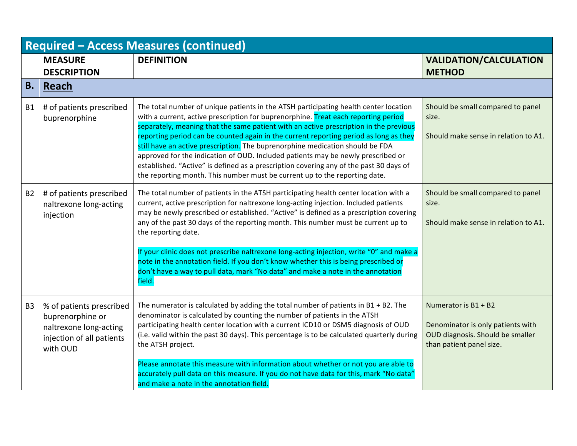| <b>Required - Access Measures (continued)</b> |                                                                                                                 |                                                                                                                                                                                                                                                                                                                                                                                                                                                                                                                                                                                                                                                                                                           |                                                                                                                             |
|-----------------------------------------------|-----------------------------------------------------------------------------------------------------------------|-----------------------------------------------------------------------------------------------------------------------------------------------------------------------------------------------------------------------------------------------------------------------------------------------------------------------------------------------------------------------------------------------------------------------------------------------------------------------------------------------------------------------------------------------------------------------------------------------------------------------------------------------------------------------------------------------------------|-----------------------------------------------------------------------------------------------------------------------------|
|                                               | <b>MEASURE</b><br><b>DESCRIPTION</b>                                                                            | <b>DEFINITION</b>                                                                                                                                                                                                                                                                                                                                                                                                                                                                                                                                                                                                                                                                                         | <b>VALIDATION/CALCULATION</b><br><b>METHOD</b>                                                                              |
| <b>B.</b>                                     | <b>Reach</b>                                                                                                    |                                                                                                                                                                                                                                                                                                                                                                                                                                                                                                                                                                                                                                                                                                           |                                                                                                                             |
| <b>B1</b>                                     | # of patients prescribed<br>buprenorphine                                                                       | The total number of unique patients in the ATSH participating health center location<br>with a current, active prescription for buprenorphine. Treat each reporting period<br>separately, meaning that the same patient with an active prescription in the previous<br>reporting period can be counted again in the current reporting period as long as they<br>still have an active prescription. The buprenorphine medication should be FDA<br>approved for the indication of OUD. Included patients may be newly prescribed or<br>established. "Active" is defined as a prescription covering any of the past 30 days of<br>the reporting month. This number must be current up to the reporting date. | Should be small compared to panel<br>size.<br>Should make sense in relation to A1.                                          |
| <b>B2</b>                                     | # of patients prescribed<br>naltrexone long-acting<br>injection                                                 | The total number of patients in the ATSH participating health center location with a<br>current, active prescription for naltrexone long-acting injection. Included patients<br>may be newly prescribed or established. "Active" is defined as a prescription covering<br>any of the past 30 days of the reporting month. This number must be current up to<br>the reporting date.<br>If your clinic does not prescribe naltrexone long-acting injection, write "0" and make a                                                                                                                                                                                                                            | Should be small compared to panel<br>size.<br>Should make sense in relation to A1.                                          |
|                                               |                                                                                                                 | note in the annotation field. If you don't know whether this is being prescribed or<br>don't have a way to pull data, mark "No data" and make a note in the annotation<br>field.                                                                                                                                                                                                                                                                                                                                                                                                                                                                                                                          |                                                                                                                             |
| B <sub>3</sub>                                | % of patients prescribed<br>buprenorphine or<br>naltrexone long-acting<br>injection of all patients<br>with OUD | The numerator is calculated by adding the total number of patients in $B1 + B2$ . The<br>denominator is calculated by counting the number of patients in the ATSH<br>participating health center location with a current ICD10 or DSM5 diagnosis of OUD<br>(i.e. valid within the past 30 days). This percentage is to be calculated quarterly during<br>the ATSH project.                                                                                                                                                                                                                                                                                                                                | Numerator is $B1 + B2$<br>Denominator is only patients with<br>OUD diagnosis. Should be smaller<br>than patient panel size. |
|                                               |                                                                                                                 | Please annotate this measure with information about whether or not you are able to<br>accurately pull data on this measure. If you do not have data for this, mark "No data"<br>and make a note in the annotation field.                                                                                                                                                                                                                                                                                                                                                                                                                                                                                  |                                                                                                                             |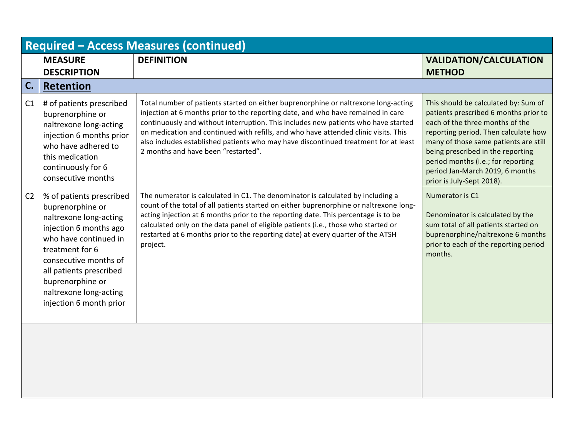| <b>Required - Access Measures (continued)</b> |                                                                                                                                                                                                                                                                           |                                                                                                                                                                                                                                                                                                                                                                                                                                                                                   |                                                                                                                                                                                                                                                                                                                                              |
|-----------------------------------------------|---------------------------------------------------------------------------------------------------------------------------------------------------------------------------------------------------------------------------------------------------------------------------|-----------------------------------------------------------------------------------------------------------------------------------------------------------------------------------------------------------------------------------------------------------------------------------------------------------------------------------------------------------------------------------------------------------------------------------------------------------------------------------|----------------------------------------------------------------------------------------------------------------------------------------------------------------------------------------------------------------------------------------------------------------------------------------------------------------------------------------------|
|                                               | <b>MEASURE</b><br><b>DESCRIPTION</b>                                                                                                                                                                                                                                      | <b>DEFINITION</b>                                                                                                                                                                                                                                                                                                                                                                                                                                                                 | <b>VALIDATION/CALCULATION</b><br><b>METHOD</b>                                                                                                                                                                                                                                                                                               |
| C.                                            | <b>Retention</b>                                                                                                                                                                                                                                                          |                                                                                                                                                                                                                                                                                                                                                                                                                                                                                   |                                                                                                                                                                                                                                                                                                                                              |
| C1                                            | # of patients prescribed<br>buprenorphine or<br>naltrexone long-acting<br>injection 6 months prior<br>who have adhered to<br>this medication<br>continuously for 6<br>consecutive months                                                                                  | Total number of patients started on either buprenorphine or naltrexone long-acting<br>injection at 6 months prior to the reporting date, and who have remained in care<br>continuously and without interruption. This includes new patients who have started<br>on medication and continued with refills, and who have attended clinic visits. This<br>also includes established patients who may have discontinued treatment for at least<br>2 months and have been "restarted". | This should be calculated by: Sum of<br>patients prescribed 6 months prior to<br>each of the three months of the<br>reporting period. Then calculate how<br>many of those same patients are still<br>being prescribed in the reporting<br>period months (i.e.; for reporting<br>period Jan-March 2019, 6 months<br>prior is July-Sept 2018). |
| C <sub>2</sub>                                | % of patients prescribed<br>buprenorphine or<br>naltrexone long-acting<br>injection 6 months ago<br>who have continued in<br>treatment for 6<br>consecutive months of<br>all patients prescribed<br>buprenorphine or<br>naltrexone long-acting<br>injection 6 month prior | The numerator is calculated in C1. The denominator is calculated by including a<br>count of the total of all patients started on either buprenorphine or naltrexone long-<br>acting injection at 6 months prior to the reporting date. This percentage is to be<br>calculated only on the data panel of eligible patients (i.e., those who started or<br>restarted at 6 months prior to the reporting date) at every quarter of the ATSH<br>project.                              | Numerator is C1<br>Denominator is calculated by the<br>sum total of all patients started on<br>buprenorphine/naltrexone 6 months<br>prior to each of the reporting period<br>months.                                                                                                                                                         |
|                                               |                                                                                                                                                                                                                                                                           |                                                                                                                                                                                                                                                                                                                                                                                                                                                                                   |                                                                                                                                                                                                                                                                                                                                              |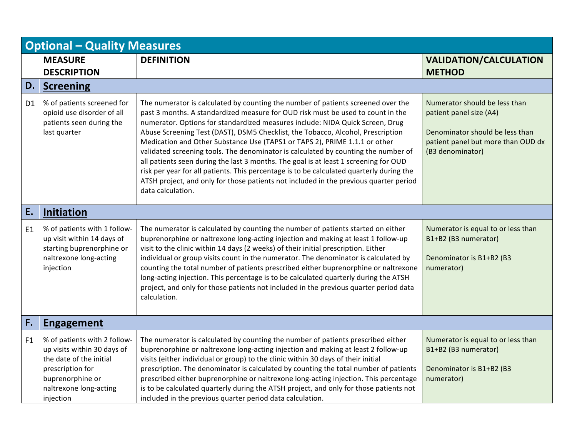| <b>Optional - Quality Measures</b> |                                                                                                                                                                       |                                                                                                                                                                                                                                                                                                                                                                                                                                                                                                                                                                                                                                                                                                                                                                                                               |                                                                                                                                                       |
|------------------------------------|-----------------------------------------------------------------------------------------------------------------------------------------------------------------------|---------------------------------------------------------------------------------------------------------------------------------------------------------------------------------------------------------------------------------------------------------------------------------------------------------------------------------------------------------------------------------------------------------------------------------------------------------------------------------------------------------------------------------------------------------------------------------------------------------------------------------------------------------------------------------------------------------------------------------------------------------------------------------------------------------------|-------------------------------------------------------------------------------------------------------------------------------------------------------|
|                                    | <b>MEASURE</b><br><b>DESCRIPTION</b>                                                                                                                                  | <b>DEFINITION</b>                                                                                                                                                                                                                                                                                                                                                                                                                                                                                                                                                                                                                                                                                                                                                                                             | <b>VALIDATION/CALCULATION</b><br><b>METHOD</b>                                                                                                        |
| D.                                 | <b>Screening</b>                                                                                                                                                      |                                                                                                                                                                                                                                                                                                                                                                                                                                                                                                                                                                                                                                                                                                                                                                                                               |                                                                                                                                                       |
| D <sub>1</sub>                     | % of patients screened for<br>opioid use disorder of all<br>patients seen during the<br>last quarter                                                                  | The numerator is calculated by counting the number of patients screened over the<br>past 3 months. A standardized measure for OUD risk must be used to count in the<br>numerator. Options for standardized measures include: NIDA Quick Screen, Drug<br>Abuse Screening Test (DAST), DSM5 Checklist, the Tobacco, Alcohol, Prescription<br>Medication and Other Substance Use (TAPS1 or TAPS 2), PRIME 1.1.1 or other<br>validated screening tools. The denominator is calculated by counting the number of<br>all patients seen during the last 3 months. The goal is at least 1 screening for OUD<br>risk per year for all patients. This percentage is to be calculated quarterly during the<br>ATSH project, and only for those patients not included in the previous quarter period<br>data calculation. | Numerator should be less than<br>patient panel size (A4)<br>Denominator should be less than<br>patient panel but more than OUD dx<br>(B3 denominator) |
| E.                                 | Initiation                                                                                                                                                            |                                                                                                                                                                                                                                                                                                                                                                                                                                                                                                                                                                                                                                                                                                                                                                                                               |                                                                                                                                                       |
| E <sub>1</sub>                     | % of patients with 1 follow-<br>up visit within 14 days of<br>starting buprenorphine or<br>naltrexone long-acting<br>injection                                        | The numerator is calculated by counting the number of patients started on either<br>buprenorphine or naltrexone long-acting injection and making at least 1 follow-up<br>visit to the clinic within 14 days (2 weeks) of their initial prescription. Either<br>individual or group visits count in the numerator. The denominator is calculated by<br>counting the total number of patients prescribed either buprenorphine or naltrexone<br>long-acting injection. This percentage is to be calculated quarterly during the ATSH<br>project, and only for those patients not included in the previous quarter period data<br>calculation.                                                                                                                                                                    | Numerator is equal to or less than<br>B1+B2 (B3 numerator)<br>Denominator is B1+B2 (B3<br>numerator)                                                  |
| F.                                 | <b>Engagement</b>                                                                                                                                                     |                                                                                                                                                                                                                                                                                                                                                                                                                                                                                                                                                                                                                                                                                                                                                                                                               |                                                                                                                                                       |
| F <sub>1</sub>                     | % of patients with 2 follow-<br>up visits within 30 days of<br>the date of the initial<br>prescription for<br>buprenorphine or<br>naltrexone long-acting<br>injection | The numerator is calculated by counting the number of patients prescribed either<br>buprenorphine or naltrexone long-acting injection and making at least 2 follow-up<br>visits (either individual or group) to the clinic within 30 days of their initial<br>prescription. The denominator is calculated by counting the total number of patients<br>prescribed either buprenorphine or naltrexone long-acting injection. This percentage<br>is to be calculated quarterly during the ATSH project, and only for those patients not<br>included in the previous quarter period data calculation.                                                                                                                                                                                                             | Numerator is equal to or less than<br>B1+B2 (B3 numerator)<br>Denominator is B1+B2 (B3<br>numerator)                                                  |